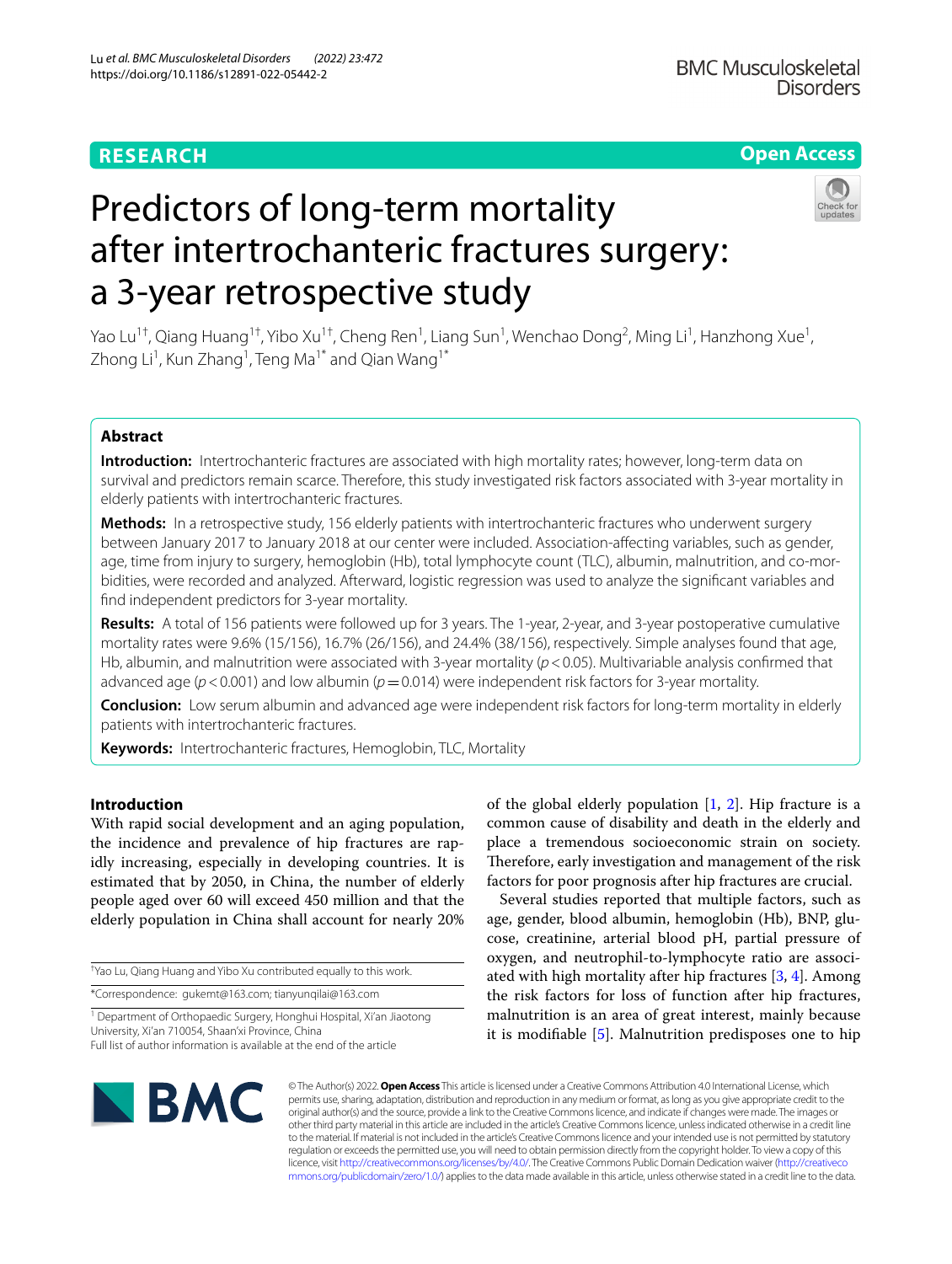# **RESEARCH**

# **Open Access**

# Predictors of long-term mortality after intertrochanteric fractures surgery: a 3-year retrospective study



Yao Lu<sup>1†</sup>, Qiang Huang<sup>1†</sup>, Yibo Xu<sup>1†</sup>, Cheng Ren<sup>1</sup>, Liang Sun<sup>1</sup>, Wenchao Dong<sup>2</sup>, Ming Li<sup>1</sup>, Hanzhong Xue<sup>1</sup>, Zhong Li<sup>1</sup>, Kun Zhang<sup>1</sup>, Teng Ma<sup>1\*</sup> and Qian Wang<sup>1\*</sup>

# **Abstract**

**Introduction:** Intertrochanteric fractures are associated with high mortality rates; however, long-term data on survival and predictors remain scarce. Therefore, this study investigated risk factors associated with 3-year mortality in elderly patients with intertrochanteric fractures.

**Methods:** In a retrospective study, 156 elderly patients with intertrochanteric fractures who underwent surgery between January 2017 to January 2018 at our center were included. Association-afecting variables, such as gender, age, time from injury to surgery, hemoglobin (Hb), total lymphocyte count (TLC), albumin, malnutrition, and co-morbidities, were recorded and analyzed. Afterward, logistic regression was used to analyze the signifcant variables and fnd independent predictors for 3-year mortality.

**Results:** A total of 156 patients were followed up for 3 years. The 1-year, 2-year, and 3-year postoperative cumulative mortality rates were 9.6% (15/156), 16.7% (26/156), and 24.4% (38/156), respectively. Simple analyses found that age, Hb, albumin, and malnutrition were associated with 3-year mortality ( $p < 0.05$ ). Multivariable analysis confirmed that advanced age ( $p < 0.001$ ) and low albumin ( $p = 0.014$ ) were independent risk factors for 3-year mortality.

**Conclusion:** Low serum albumin and advanced age were independent risk factors for long-term mortality in elderly patients with intertrochanteric fractures.

**Keywords:** Intertrochanteric fractures, Hemoglobin, TLC, Mortality

# **Introduction**

With rapid social development and an aging population, the incidence and prevalence of hip fractures are rapidly increasing, especially in developing countries. It is estimated that by 2050, in China, the number of elderly people aged over 60 will exceed 450 million and that the elderly population in China shall account for nearly 20%

† Yao Lu, Qiang Huang and Yibo Xu contributed equally to this work.

\*Correspondence: gukemt@163.com; tianyunqilai@163.com

<sup>1</sup> Department of Orthopaedic Surgery, Honghui Hospital, Xi'an Jiaotong University, Xi'an 710054, Shaan'xi Province, China

Full list of author information is available at the end of the article

of the global elderly population  $[1, 2]$  $[1, 2]$  $[1, 2]$ . Hip fracture is a common cause of disability and death in the elderly and place a tremendous socioeconomic strain on society. Therefore, early investigation and management of the risk factors for poor prognosis after hip fractures are crucial.

Several studies reported that multiple factors, such as age, gender, blood albumin, hemoglobin (Hb), BNP, glucose, creatinine, arterial blood pH, partial pressure of oxygen, and neutrophil-to-lymphocyte ratio are associated with high mortality after hip fractures  $[3, 4]$  $[3, 4]$  $[3, 4]$  $[3, 4]$ . Among the risk factors for loss of function after hip fractures, malnutrition is an area of great interest, mainly because it is modifable [[5\]](#page-6-4). Malnutrition predisposes one to hip



© The Author(s) 2022. **Open Access** This article is licensed under a Creative Commons Attribution 4.0 International License, which permits use, sharing, adaptation, distribution and reproduction in any medium or format, as long as you give appropriate credit to the original author(s) and the source, provide a link to the Creative Commons licence, and indicate if changes were made. The images or other third party material in this article are included in the article's Creative Commons licence, unless indicated otherwise in a credit line to the material. If material is not included in the article's Creative Commons licence and your intended use is not permitted by statutory regulation or exceeds the permitted use, you will need to obtain permission directly from the copyright holder. To view a copy of this licence, visit [http://creativecommons.org/licenses/by/4.0/.](http://creativecommons.org/licenses/by/4.0/) The Creative Commons Public Domain Dedication waiver ([http://creativeco](http://creativecommons.org/publicdomain/zero/1.0/) [mmons.org/publicdomain/zero/1.0/](http://creativecommons.org/publicdomain/zero/1.0/)) applies to the data made available in this article, unless otherwise stated in a credit line to the data.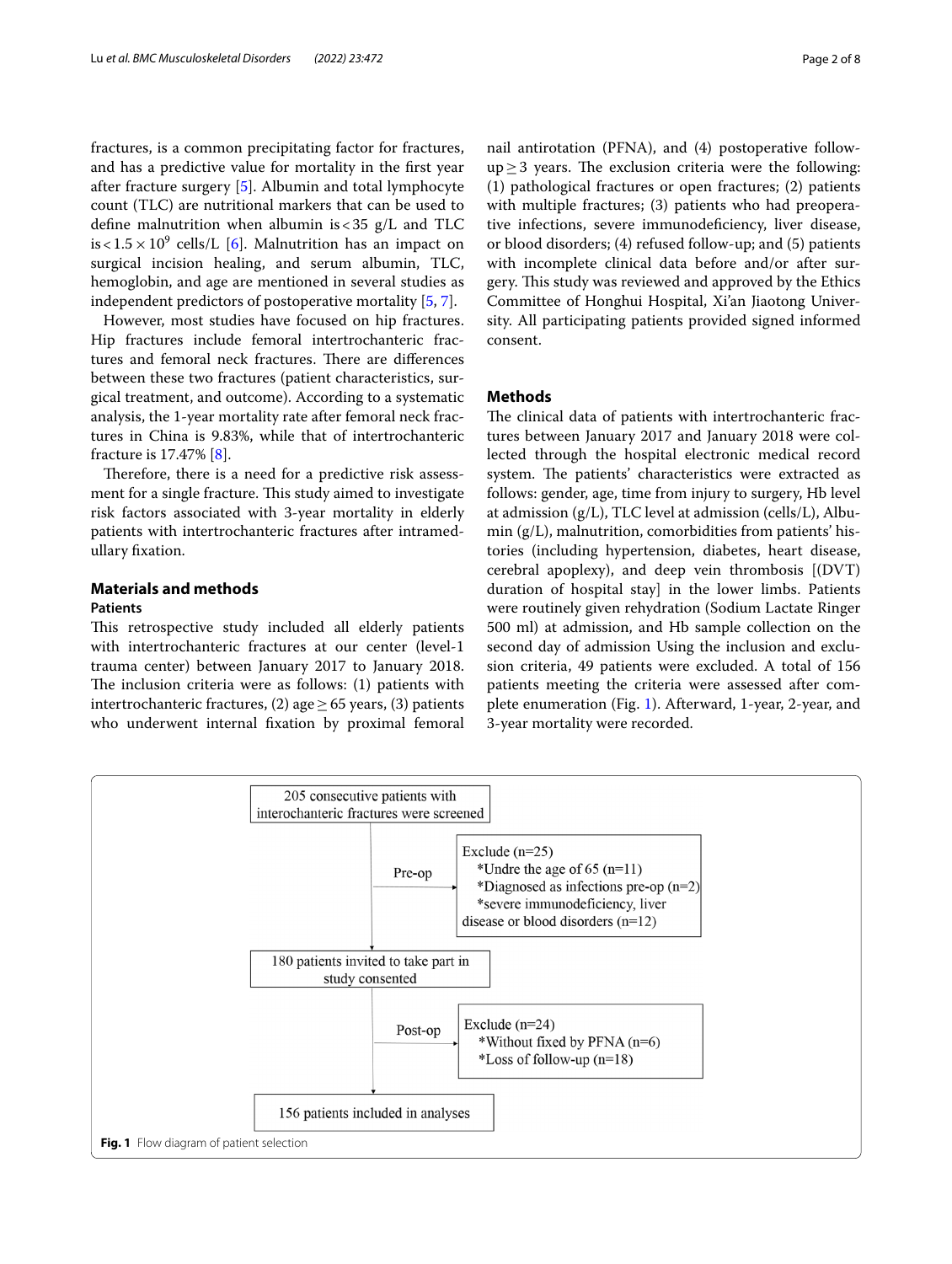fractures, is a common precipitating factor for fractures, and has a predictive value for mortality in the frst year after fracture surgery [\[5](#page-6-4)]. Albumin and total lymphocyte count (TLC) are nutritional markers that can be used to defne malnutrition when albumin is<35 g/L and TLC is  $< 1.5 \times 10^9$  cells/L [\[6](#page-6-5)]. Malnutrition has an impact on surgical incision healing, and serum albumin, TLC, hemoglobin, and age are mentioned in several studies as independent predictors of postoperative mortality [\[5](#page-6-4), [7\]](#page-6-6).

However, most studies have focused on hip fractures. Hip fractures include femoral intertrochanteric fractures and femoral neck fractures. There are differences between these two fractures (patient characteristics, surgical treatment, and outcome). According to a systematic analysis, the 1-year mortality rate after femoral neck fractures in China is 9.83%, while that of intertrochanteric fracture is 17.47% [\[8](#page-6-7)].

Therefore, there is a need for a predictive risk assessment for a single fracture. This study aimed to investigate risk factors associated with 3-year mortality in elderly patients with intertrochanteric fractures after intramedullary fxation.

#### **Materials and methods**

### **Patients**

This retrospective study included all elderly patients with intertrochanteric fractures at our center (level-1 trauma center) between January 2017 to January 2018. The inclusion criteria were as follows:  $(1)$  patients with intertrochanteric fractures, (2) age  $\geq$  65 years, (3) patients who underwent internal fxation by proximal femoral nail antirotation (PFNA), and (4) postoperative follow $up>3$  years. The exclusion criteria were the following: (1) pathological fractures or open fractures; (2) patients with multiple fractures; (3) patients who had preoperative infections, severe immunodefciency, liver disease, or blood disorders; (4) refused follow-up; and (5) patients with incomplete clinical data before and/or after surgery. This study was reviewed and approved by the Ethics Committee of Honghui Hospital, Xi'an Jiaotong University. All participating patients provided signed informed consent.

# **Methods**

The clinical data of patients with intertrochanteric fractures between January 2017 and January 2018 were collected through the hospital electronic medical record system. The patients' characteristics were extracted as follows: gender, age, time from injury to surgery, Hb level at admission (g/L), TLC level at admission (cells/L), Albumin (g/L), malnutrition, comorbidities from patients' histories (including hypertension, diabetes, heart disease, cerebral apoplexy), and deep vein thrombosis [(DVT) duration of hospital stay] in the lower limbs. Patients were routinely given rehydration (Sodium Lactate Ringer 500 ml) at admission, and Hb sample collection on the second day of admission Using the inclusion and exclusion criteria, 49 patients were excluded. A total of 156 patients meeting the criteria were assessed after complete enumeration (Fig. [1](#page-1-0)). Afterward, 1-year, 2-year, and 3-year mortality were recorded.

<span id="page-1-0"></span>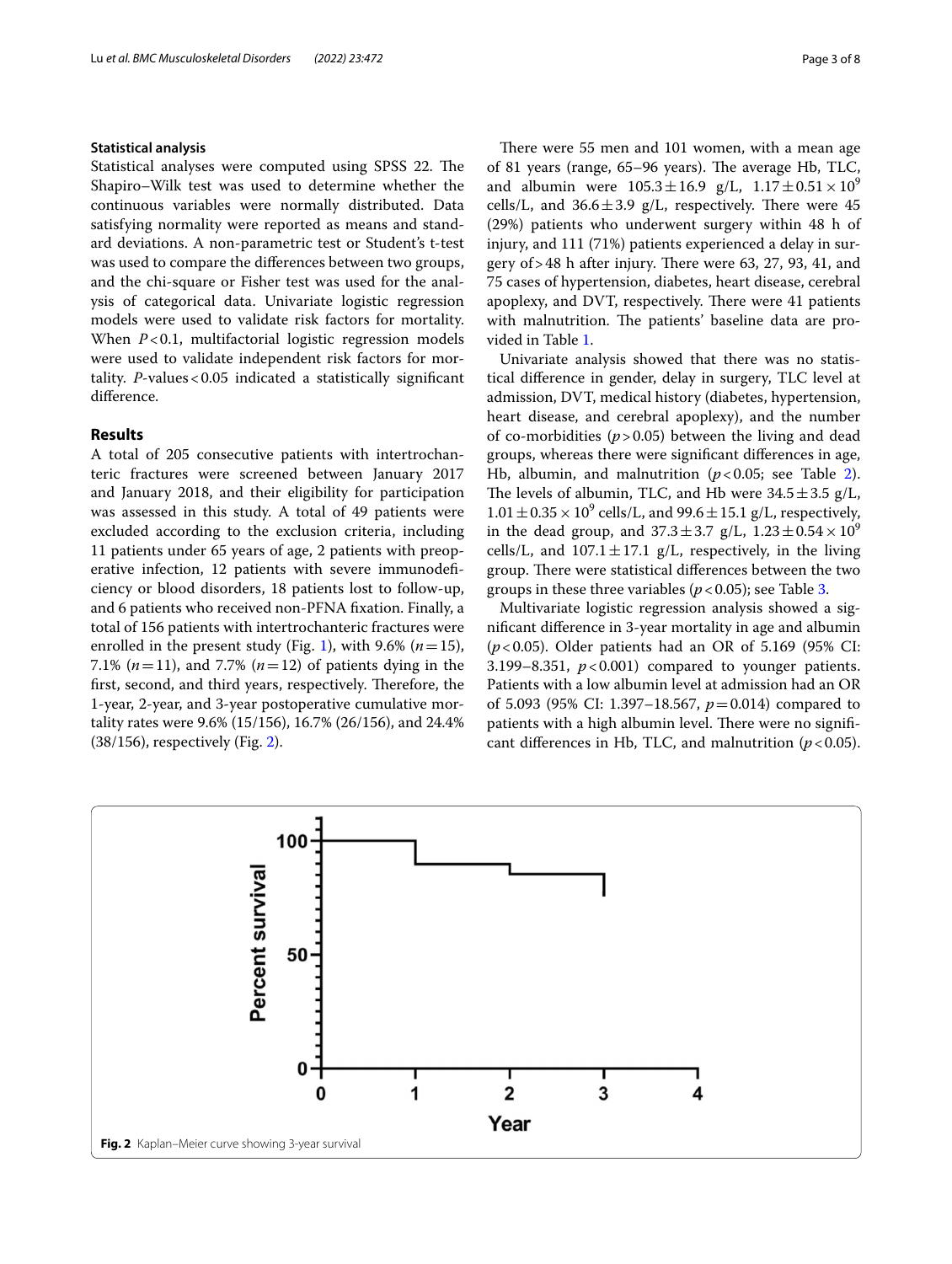#### **Statistical analysis**

Statistical analyses were computed using SPSS 22. The Shapiro–Wilk test was used to determine whether the continuous variables were normally distributed. Data satisfying normality were reported as means and standard deviations. A non-parametric test or Student's t-test was used to compare the diferences between two groups, and the chi-square or Fisher test was used for the analysis of categorical data. Univariate logistic regression models were used to validate risk factors for mortality. When *P*<0.1, multifactorial logistic regression models were used to validate independent risk factors for mortality. *P*-values<0.05 indicated a statistically signifcant diference.

### **Results**

A total of 205 consecutive patients with intertrochanteric fractures were screened between January 2017 and January 2018, and their eligibility for participation was assessed in this study. A total of 49 patients were excluded according to the exclusion criteria, including 11 patients under 65 years of age, 2 patients with preoperative infection, 12 patients with severe immunodefciency or blood disorders, 18 patients lost to follow-up, and 6 patients who received non-PFNA fxation. Finally, a total of 156 patients with intertrochanteric fractures were enrolled in the present study (Fig. [1](#page-1-0)), with 9.6% ( $n=15$ ), 7.1% (*n*=11), and 7.7% (*n*=12) of patients dying in the first, second, and third years, respectively. Therefore, the 1-year, 2-year, and 3-year postoperative cumulative mortality rates were 9.6% (15/156), 16.7% (26/156), and 24.4% (38/156), respectively (Fig. [2\)](#page-2-0).

There were 55 men and 101 women, with a mean age of 81 years (range,  $65-96$  years). The average Hb, TLC, and albumin were  $105.3 \pm 16.9$  g/L,  $1.17 \pm 0.51 \times 10^9$ cells/L, and  $36.6 \pm 3.9$  g/L, respectively. There were 45 (29%) patients who underwent surgery within 48 h of injury, and 111 (71%) patients experienced a delay in surgery of  $>48$  h after injury. There were 63, 27, 93, 41, and 75 cases of hypertension, diabetes, heart disease, cerebral apoplexy, and DVT, respectively. There were 41 patients with malnutrition. The patients' baseline data are provided in Table [1](#page-3-0).

Univariate analysis showed that there was no statistical diference in gender, delay in surgery, TLC level at admission, DVT, medical history (diabetes, hypertension, heart disease, and cerebral apoplexy), and the number of co-morbidities  $(p > 0.05)$  between the living and dead groups, whereas there were signifcant diferences in age, Hb, albumin, and malnutrition  $(p<0.05$ ; see Table [2](#page-3-1)). The levels of albumin, TLC, and Hb were  $34.5 \pm 3.5$  g/L,  $1.01 \pm 0.35 \times 10^9$  cells/L, and 99.6  $\pm$  15.1 g/L, respectively, in the dead group, and  $37.3 \pm 3.7$  g/L,  $1.23 \pm 0.54 \times 10^9$ cells/L, and  $107.1 \pm 17.1$  g/L, respectively, in the living group. There were statistical differences between the two groups in these three variables ( $p < 0.05$ ); see Table [3.](#page-4-0)

Multivariate logistic regression analysis showed a signifcant diference in 3-year mortality in age and albumin (*p*<0.05). Older patients had an OR of 5.169 (95% CI: 3.199–8.351,  $p < 0.001$ ) compared to younger patients. Patients with a low albumin level at admission had an OR of 5.093 (95% CI: 1.397–18.567, *p*=0.014) compared to patients with a high albumin level. There were no significant differences in Hb, TLC, and malnutrition  $(p < 0.05)$ .

<span id="page-2-0"></span>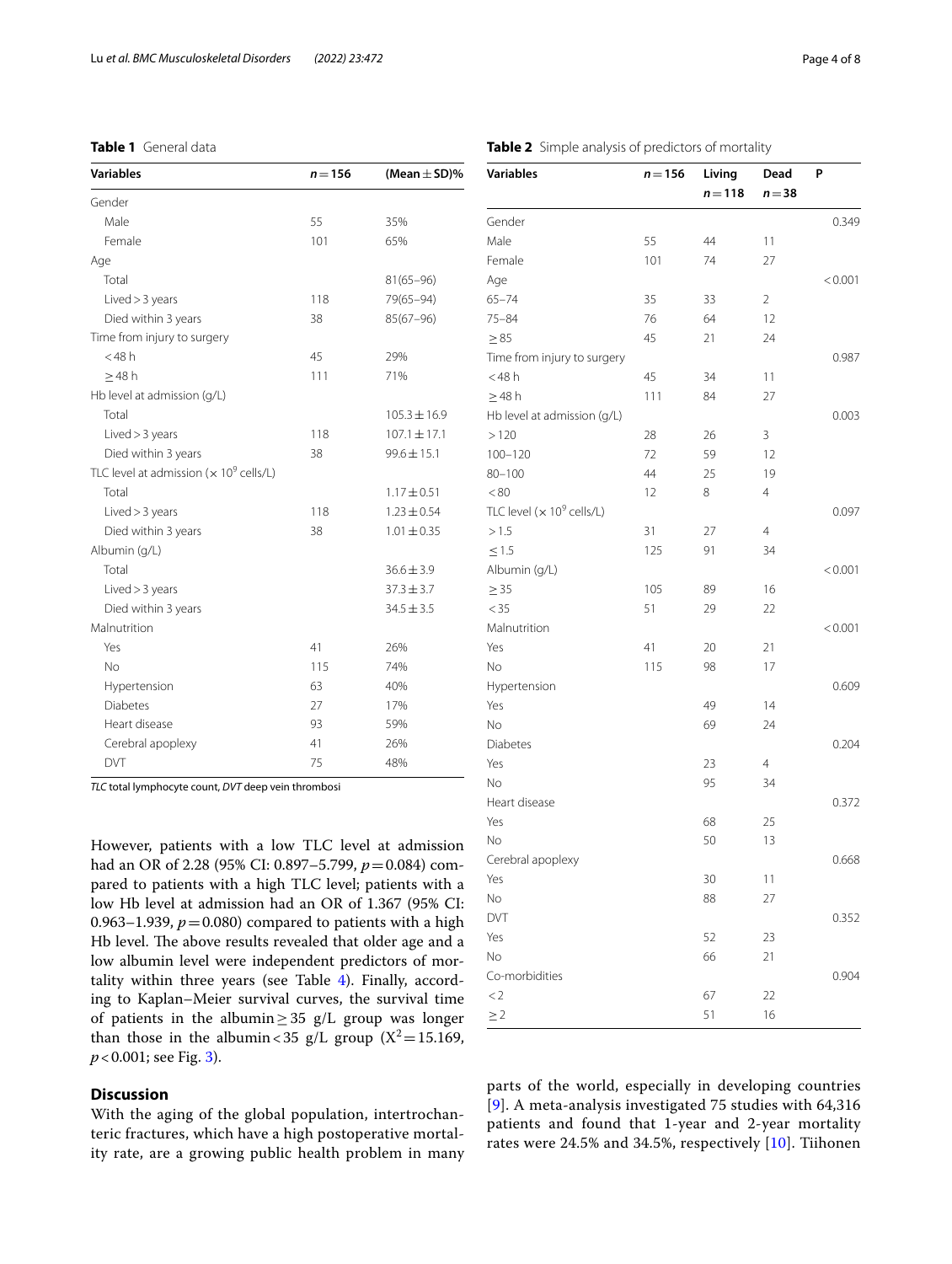## <span id="page-3-0"></span>**Table 1** General data

| <b>Variables</b>                                           | $n = 156$ | (Mean $\pm$ SD)% |
|------------------------------------------------------------|-----------|------------------|
| Gender                                                     |           |                  |
| Male                                                       | 55        | 35%              |
| Female                                                     | 101       | 65%              |
| Age                                                        |           |                  |
| Total                                                      |           | $81(65 - 96)$    |
| Lived > 3 years                                            | 118       | 79(65-94)        |
| Died within 3 years                                        | 38        | $85(67 - 96)$    |
| Time from injury to surgery                                |           |                  |
| $<$ 48 $h$                                                 | 45        | 29%              |
| $>48$ h                                                    | 111       | 71%              |
| Hb level at admission (g/L)                                |           |                  |
| Total                                                      |           | $105.3 \pm 16.9$ |
| Lived > 3 years                                            | 118       | $107.1 \pm 17.1$ |
| Died within 3 years                                        | 38        | $99.6 \pm 15.1$  |
| TLC level at admission ( $\times$ 10 <sup>9</sup> cells/L) |           |                  |
| Total                                                      |           | $1.17 \pm 0.51$  |
| Lived > 3 years                                            | 118       | $1.23 \pm 0.54$  |
| Died within 3 years                                        | 38        | $1.01 \pm 0.35$  |
| Albumin (g/L)                                              |           |                  |
| Total                                                      |           | $36.6 \pm 3.9$   |
| Lived > 3 years                                            |           | $37.3 \pm 3.7$   |
| Died within 3 years                                        |           | $34.5 \pm 3.5$   |
| Malnutrition                                               |           |                  |
| Yes                                                        | 41        | 26%              |
| <b>No</b>                                                  | 115       | 74%              |
| Hypertension                                               | 63        | 40%              |
| <b>Diabetes</b>                                            | 27        | 17%              |
| Heart disease                                              | 93        | 59%              |
| Cerebral apoplexy                                          | 41        | 26%              |
| DVT                                                        | 75        | 48%              |

*TLC* total lymphocyte count, *DVT* deep vein thrombosi

However, patients with a low TLC level at admission had an OR of 2.28 (95% CI: 0.897–5.799, *p*=0.084) compared to patients with a high TLC level; patients with a low Hb level at admission had an OR of 1.367 (95% CI: 0.963–1.939,  $p = 0.080$ ) compared to patients with a high Hb level. The above results revealed that older age and a low albumin level were independent predictors of mortality within three years (see Table [4](#page-4-1)). Finally, according to Kaplan–Meier survival curves, the survival time of patients in the albumin $\geq$ 35 g/L group was longer than those in the albumin < 35 g/L group ( $X^2$  = 15.169, *p*<0.001; see Fig. [3](#page-4-2)).

# **Discussion**

With the aging of the global population, intertrochanteric fractures, which have a high postoperative mortality rate, are a growing public health problem in many

| Variables                            | $n = 156$ | Living    | Dead     | P       |
|--------------------------------------|-----------|-----------|----------|---------|
|                                      |           | $n = 118$ | $n = 38$ |         |
| Gender                               |           |           |          | 0.349   |
| Male                                 | 55        | 44        | 11       |         |
| Female                               | 101       | 74        | 27       |         |
| Age                                  |           |           |          | < 0.001 |
| $65 - 74$                            | 35        | 33        | 2        |         |
| $75 - 84$                            | 76        | 64        | 12       |         |
| $\geq 85$                            | 45        | 21        | 24       |         |
| Time from injury to surgery          |           |           |          | 0.987   |
| $<$ 48 h                             | 45        | 34        | 11       |         |
| $\geq$ 48 h                          | 111       | 84        | 27       |         |
| Hb level at admission (g/L)          |           |           |          | 0.003   |
| >120                                 | 28        | 26        | 3        |         |
| $100 - 120$                          | 72        | 59        | 12       |         |
| $80 - 100$                           | 44        | 25        | 19       |         |
| < 80                                 | 12        | 8         | 4        |         |
| TLC level $(x 10^9 \text{ cells/L})$ |           |           |          | 0.097   |
| >1.5                                 | 31        | 27        | 4        |         |
| $\leq$ 1.5                           | 125       | 91        | 34       |         |
| Albumin (g/L)                        |           |           |          | < 0.001 |
| $\geq$ 35                            | 105       | 89        | 16       |         |
| $<$ 35                               | 51        | 29        | 22       |         |
| Malnutrition                         |           |           |          | < 0.001 |
| Yes                                  | 41        | 20        | 21       |         |
| No                                   | 115       | 98        | 17       |         |
| Hypertension                         |           |           |          | 0.609   |
| Yes                                  |           | 49        | 14       |         |
| No                                   |           | 69        | 24       |         |
| Diabetes                             |           |           |          | 0.204   |
| Yes                                  |           | 23        | 4        |         |
| No                                   |           | 95        | 34       |         |
| Heart disease                        |           |           |          | 0.372   |
| Yes                                  |           | 68        | 25       |         |
| No                                   |           | 50        | 13       |         |
| Cerebral apoplexy                    |           |           |          | 0.668   |
| Yes                                  |           | 30        | 11       |         |
| Νo                                   |           | 88        | 27       |         |
| DVT                                  |           |           |          | 0.352   |
| Yes                                  |           | 52        | 23       |         |
| Νo                                   |           | 66        | 21       |         |
| Co-morbidities                       |           |           |          | 0.904   |
| $<$ 2                                |           | 67        | 22       |         |
| $\geq$ 2                             |           | 51        | 16       |         |

parts of the world, especially in developing countries [[9](#page-6-8)]. A meta-analysis investigated 75 studies with 64,316 patients and found that 1-year and 2-year mortality rates were 24.5% and 34.5%, respectively [[10](#page-6-9)]. Tiihonen

# <span id="page-3-1"></span>**Table 2** Simple analysis of predictors of mortality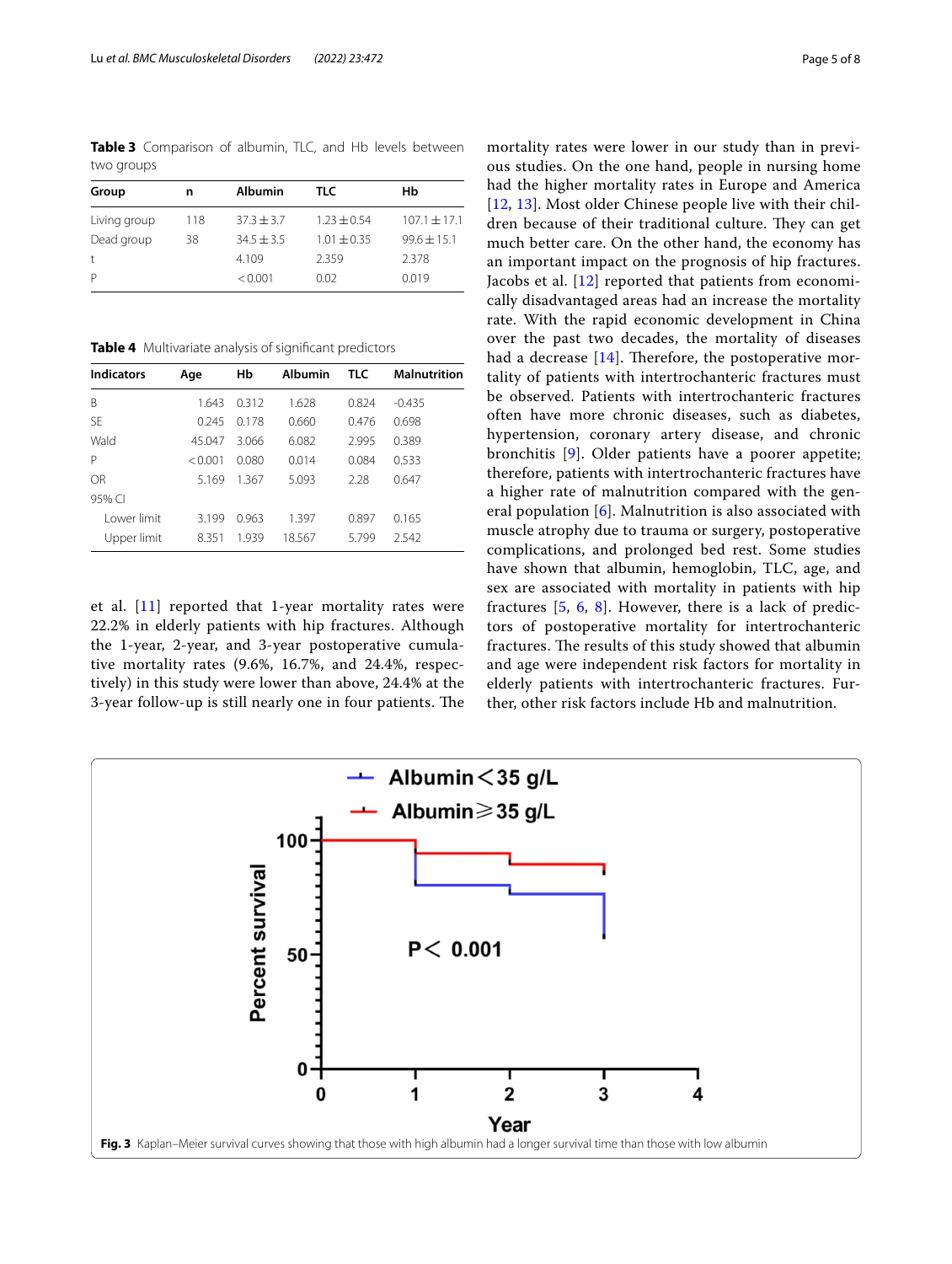<span id="page-4-0"></span>**Table 3** Comparison of albumin, TLC, and Hb levels between two groups

| Group                | n   | <b>Albumin</b> | TLC.          | Нb               |  |
|----------------------|-----|----------------|---------------|------------------|--|
| Living group         | 118 | $37.3 + 3.7$   | $1.23 + 0.54$ | $107.1 \pm 17.1$ |  |
| Dead group           | 38  | $34.5 + 3.5$   | $1.01 + 0.35$ | $99.6 \pm 15.1$  |  |
| $\ddot{\phantom{1}}$ |     | 4.109          | 2.359         | 2.378            |  |
| P                    |     | < 0.001        | 0.02          | 0.019            |  |

<span id="page-4-1"></span>**Table 4** Multivariate analysis of signifcant predictors

| <b>Indicators</b> | Age     | Нb    | <b>Albumin</b> | <b>TLC</b> | <b>Malnutrition</b> |
|-------------------|---------|-------|----------------|------------|---------------------|
| B                 | 1.643   | 0312  | 1.628          | 0.824      | $-0.435$            |
| <b>SE</b>         | 0.245   | 0.178 | 0.660          | 0.476      | 0.698               |
| Wald              | 45.047  | 3.066 | 6.082          | 2.995      | 0.389               |
| P                 | < 0.001 | 0.080 | 0.014          | 0.084      | 0.533               |
| OR                | 5.169   | 1.367 | 5.093          | 2.28       | 0.647               |
| 95% CI            |         |       |                |            |                     |
| I ower limit      | 3.199   | 0.963 | 1.397          | 0.897      | 0.165               |
| Upper limit       | 8.351   | 1.939 | 18.567         | 5.799      | 2.542               |

et al.  $[11]$  $[11]$  reported that 1-year mortality rates were 22.2% in elderly patients with hip fractures. Although the 1-year, 2-year, and 3-year postoperative cumulative mortality rates (9.6%, 16.7%, and 24.4%, respectively) in this study were lower than above, 24.4% at the 3-year follow-up is still nearly one in four patients. The

mortality rates were lower in our study than in previous studies. On the one hand, people in nursing home had the higher mortality rates in Europe and America [[12](#page-6-11), [13](#page-6-12)]. Most older Chinese people live with their children because of their traditional culture. They can get much better care. On the other hand, the economy has an important impact on the prognosis of hip fractures. Jacobs et al. [[12\]](#page-6-11) reported that patients from economically disadvantaged areas had an increase the mortality rate. With the rapid economic development in China over the past two decades, the mortality of diseases had a decrease  $[14]$  $[14]$ . Therefore, the postoperative mortality of patients with intertrochanteric fractures must be observed. Patients with intertrochanteric fractures often have more chronic diseases, such as diabetes, hypertension, coronary artery disease, and chronic bronchitis [\[9](#page-6-8)]. Older patients have a poorer appetite; therefore, patients with intertrochanteric fractures have a higher rate of malnutrition compared with the general population  $[6]$  $[6]$ . Malnutrition is also associated with muscle atrophy due to trauma or surgery, postoperative complications, and prolonged bed rest. Some studies have shown that albumin, hemoglobin, TLC, age, and sex are associated with mortality in patients with hip fractures [\[5,](#page-6-4) [6,](#page-6-5) [8](#page-6-7)]. However, there is a lack of predictors of postoperative mortality for intertrochanteric fractures. The results of this study showed that albumin and age were independent risk factors for mortality in elderly patients with intertrochanteric fractures. Further, other risk factors include Hb and malnutrition.

<span id="page-4-2"></span>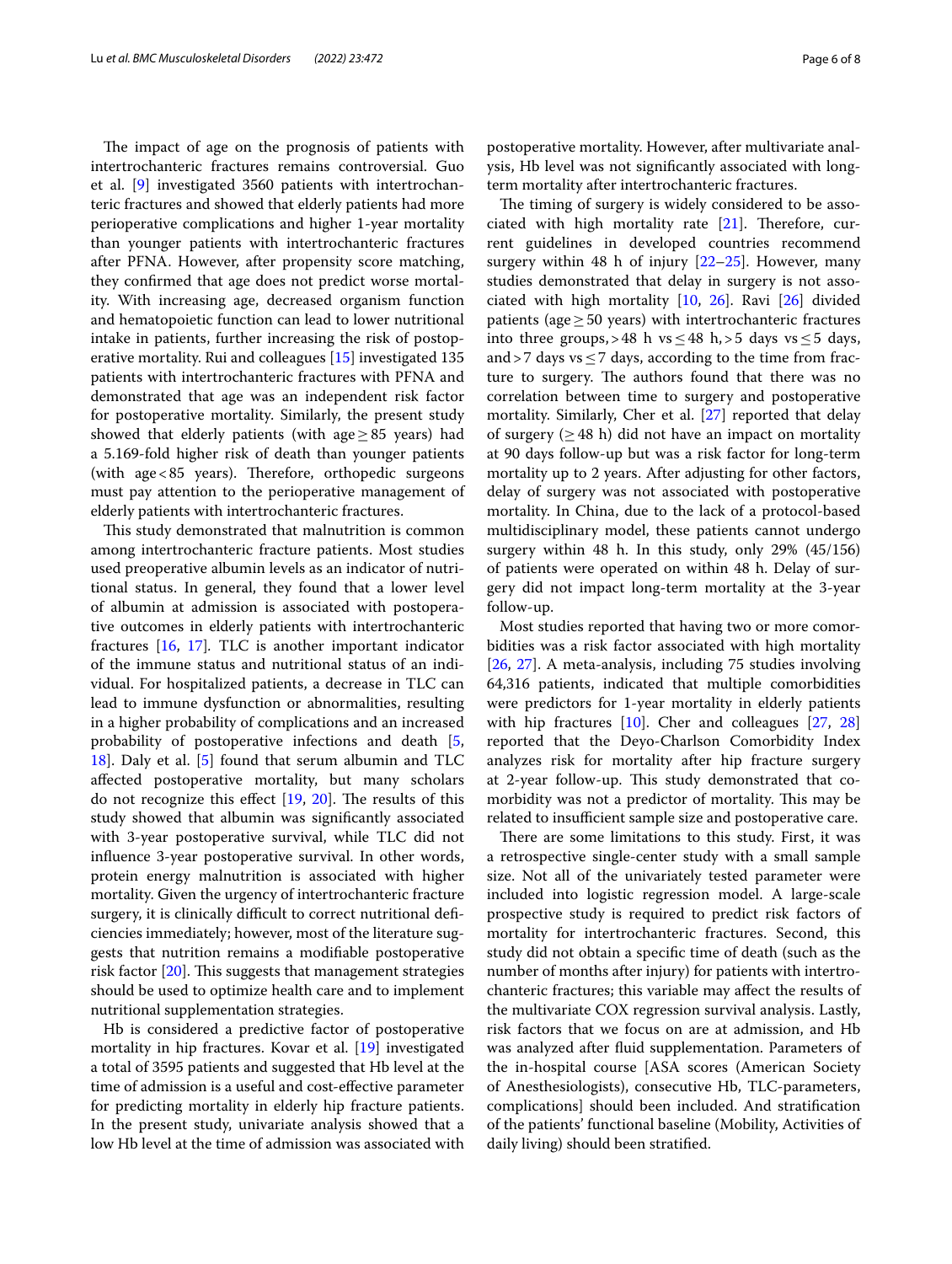The impact of age on the prognosis of patients with intertrochanteric fractures remains controversial. Guo et al. [[9\]](#page-6-8) investigated 3560 patients with intertrochanteric fractures and showed that elderly patients had more perioperative complications and higher 1-year mortality than younger patients with intertrochanteric fractures after PFNA. However, after propensity score matching, they confrmed that age does not predict worse mortality. With increasing age, decreased organism function and hematopoietic function can lead to lower nutritional intake in patients, further increasing the risk of postoperative mortality. Rui and colleagues [\[15](#page-6-14)] investigated 135 patients with intertrochanteric fractures with PFNA and demonstrated that age was an independent risk factor for postoperative mortality. Similarly, the present study showed that elderly patients (with age $\geq$ 85 years) had a 5.169-fold higher risk of death than younger patients (with age  $< 85$  years). Therefore, orthopedic surgeons must pay attention to the perioperative management of elderly patients with intertrochanteric fractures.

This study demonstrated that malnutrition is common among intertrochanteric fracture patients. Most studies used preoperative albumin levels as an indicator of nutritional status. In general, they found that a lower level of albumin at admission is associated with postoperative outcomes in elderly patients with intertrochanteric fractures [[16](#page-6-15), [17](#page-6-16)]*.* TLC is another important indicator of the immune status and nutritional status of an individual. For hospitalized patients, a decrease in TLC can lead to immune dysfunction or abnormalities, resulting in a higher probability of complications and an increased probability of postoperative infections and death [\[5](#page-6-4), [18\]](#page-6-17). Daly et al. [[5\]](#page-6-4) found that serum albumin and TLC afected postoperative mortality, but many scholars do not recognize this effect  $[19, 20]$  $[19, 20]$  $[19, 20]$  $[19, 20]$ . The results of this study showed that albumin was signifcantly associated with 3-year postoperative survival, while TLC did not infuence 3-year postoperative survival. In other words, protein energy malnutrition is associated with higher mortality. Given the urgency of intertrochanteric fracture surgery, it is clinically difficult to correct nutritional deficiencies immediately; however, most of the literature suggests that nutrition remains a modifable postoperative risk factor  $[20]$  $[20]$ . This suggests that management strategies should be used to optimize health care and to implement nutritional supplementation strategies.

Hb is considered a predictive factor of postoperative mortality in hip fractures. Kovar et al. [[19\]](#page-6-18) investigated a total of 3595 patients and suggested that Hb level at the time of admission is a useful and cost-efective parameter for predicting mortality in elderly hip fracture patients. In the present study, univariate analysis showed that a low Hb level at the time of admission was associated with

postoperative mortality. However, after multivariate analysis, Hb level was not signifcantly associated with longterm mortality after intertrochanteric fractures.

The timing of surgery is widely considered to be associated with high mortality rate  $[21]$  $[21]$  $[21]$ . Therefore, current guidelines in developed countries recommend surgery within 48 h of injury  $[22-25]$  $[22-25]$ . However, many studies demonstrated that delay in surgery is not associated with high mortality [[10,](#page-6-9) [26\]](#page-6-23). Ravi [\[26](#page-6-23)] divided patients (age $\geq$  50 years) with intertrochanteric fractures into three groups, > 48 h vs ≤ 48 h, > 5 days vs ≤ 5 days, and > 7 days vs  $\leq$  7 days, according to the time from fracture to surgery. The authors found that there was no correlation between time to surgery and postoperative mortality. Similarly, Cher et al. [\[27](#page-6-24)] reported that delay of surgery  $(\geq 48 \text{ h})$  did not have an impact on mortality at 90 days follow-up but was a risk factor for long-term mortality up to 2 years. After adjusting for other factors, delay of surgery was not associated with postoperative mortality. In China, due to the lack of a protocol-based multidisciplinary model, these patients cannot undergo surgery within 48 h. In this study, only 29% (45/156) of patients were operated on within 48 h. Delay of surgery did not impact long-term mortality at the 3-year follow-up.

Most studies reported that having two or more comorbidities was a risk factor associated with high mortality [[26,](#page-6-23) [27](#page-6-24)]. A meta-analysis, including 75 studies involving 64,316 patients, indicated that multiple comorbidities were predictors for 1-year mortality in elderly patients with hip fractures [\[10](#page-6-9)]. Cher and colleagues [\[27](#page-6-24), [28](#page-7-0)] reported that the Deyo-Charlson Comorbidity Index analyzes risk for mortality after hip fracture surgery at 2-year follow-up. This study demonstrated that comorbidity was not a predictor of mortality. This may be related to insufficient sample size and postoperative care.

There are some limitations to this study. First, it was a retrospective single-center study with a small sample size. Not all of the univariately tested parameter were included into logistic regression model. A large-scale prospective study is required to predict risk factors of mortality for intertrochanteric fractures. Second, this study did not obtain a specifc time of death (such as the number of months after injury) for patients with intertrochanteric fractures; this variable may afect the results of the multivariate COX regression survival analysis. Lastly, risk factors that we focus on are at admission, and Hb was analyzed after fuid supplementation. Parameters of the in-hospital course [ASA scores (American Society of Anesthesiologists), consecutive Hb, TLC-parameters, complications] should been included. And stratifcation of the patients' functional baseline (Mobility, Activities of daily living) should been stratifed.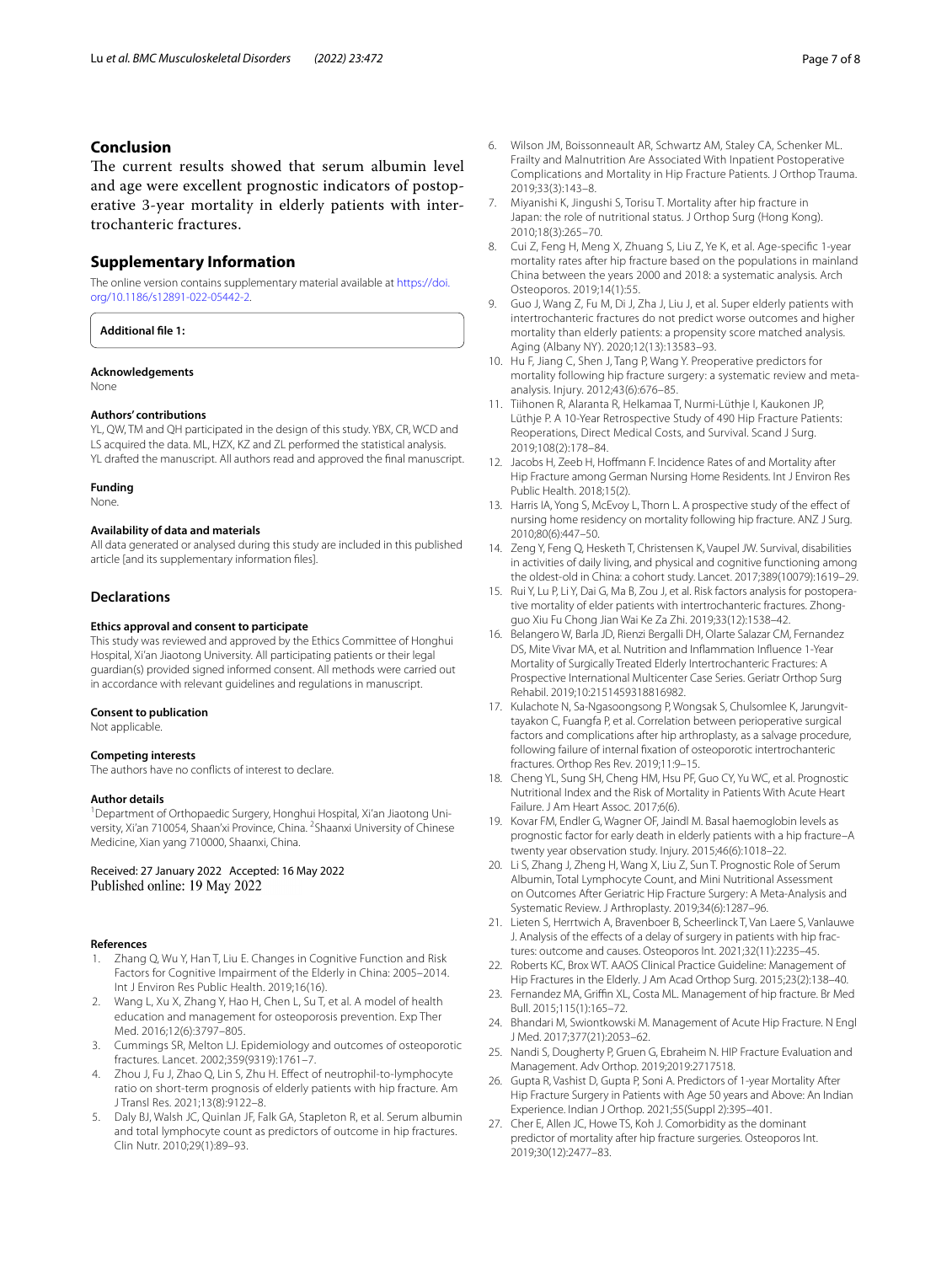## **Conclusion**

The current results showed that serum albumin level and age were excellent prognostic indicators of postoperative 3-year mortality in elderly patients with intertrochanteric fractures.

#### **Supplementary Information**

The online version contains supplementary material available at [https://doi.](https://doi.org/10.1186/s12891-022-05442-2) [org/10.1186/s12891-022-05442-2](https://doi.org/10.1186/s12891-022-05442-2).

**Additional fle 1:**

#### **Acknowledgements**

None

#### **Authors' contributions**

YL, QW, TM and QH participated in the design of this study. YBX, CR, WCD and LS acquired the data. ML, HZX, KZ and ZL performed the statistical analysis. YL drafted the manuscript. All authors read and approved the fnal manuscript.

#### **Funding**

None.

#### **Availability of data and materials**

All data generated or analysed during this study are included in this published article [and its supplementary information fles].

#### **Declarations**

#### **Ethics approval and consent to participate**

This study was reviewed and approved by the Ethics Committee of Honghui Hospital, Xi'an Jiaotong University. All participating patients or their legal guardian(s) provided signed informed consent. All methods were carried out in accordance with relevant guidelines and regulations in manuscript.

#### **Consent to publication**

Not applicable.

#### **Competing interests**

The authors have no conficts of interest to declare.

#### **Author details**

<sup>1</sup> Department of Orthopaedic Surgery, Honghui Hospital, Xi'an Jiaotong University, Xi'an 710054, Shaan'xi Province, China. <sup>2</sup>Shaanxi University of Chinese Medicine, Xian yang 710000, Shaanxi, China.

Received: 27 January 2022 Accepted: 16 May 2022 Published online: 19 May 2022

#### **References**

- <span id="page-6-0"></span>Zhang Q, Wu Y, Han T, Liu E. Changes in Cognitive Function and Risk Factors for Cognitive Impairment of the Elderly in China: 2005–2014. Int J Environ Res Public Health. 2019;16(16).
- <span id="page-6-1"></span>2. Wang L, Xu X, Zhang Y, Hao H, Chen L, Su T, et al. A model of health education and management for osteoporosis prevention. Exp Ther Med. 2016;12(6):3797–805.
- <span id="page-6-2"></span>3. Cummings SR, Melton LJ. Epidemiology and outcomes of osteoporotic fractures. Lancet. 2002;359(9319):1761–7.
- <span id="page-6-3"></span>4. Zhou J, Fu J, Zhao Q, Lin S, Zhu H. Efect of neutrophil-to-lymphocyte ratio on short-term prognosis of elderly patients with hip fracture. Am J Transl Res. 2021;13(8):9122–8.
- <span id="page-6-4"></span>5. Daly BJ, Walsh JC, Quinlan JF, Falk GA, Stapleton R, et al. Serum albumin and total lymphocyte count as predictors of outcome in hip fractures. Clin Nutr. 2010;29(1):89–93.
- <span id="page-6-5"></span>6. Wilson JM, Boissonneault AR, Schwartz AM, Staley CA, Schenker ML. Frailty and Malnutrition Are Associated With Inpatient Postoperative Complications and Mortality in Hip Fracture Patients. J Orthop Trauma. 2019;33(3):143–8.
- <span id="page-6-6"></span>7. Miyanishi K, Jingushi S, Torisu T. Mortality after hip fracture in Japan: the role of nutritional status. J Orthop Surg (Hong Kong). 2010;18(3):265–70.
- <span id="page-6-7"></span>8. Cui Z, Feng H, Meng X, Zhuang S, Liu Z, Ye K, et al. Age-specifc 1-year mortality rates after hip fracture based on the populations in mainland China between the years 2000 and 2018: a systematic analysis. Arch Osteoporos. 2019;14(1):55.
- <span id="page-6-8"></span>9. Guo J, Wang Z, Fu M, Di J, Zha J, Liu J, et al. Super elderly patients with intertrochanteric fractures do not predict worse outcomes and higher mortality than elderly patients: a propensity score matched analysis. Aging (Albany NY). 2020;12(13):13583–93.
- <span id="page-6-9"></span>10. Hu F, Jiang C, Shen J, Tang P, Wang Y. Preoperative predictors for mortality following hip fracture surgery: a systematic review and metaanalysis. Injury. 2012;43(6):676–85.
- <span id="page-6-10"></span>11. Tiihonen R, Alaranta R, Helkamaa T, Nurmi-Lüthje I, Kaukonen JP, Lüthje P. A 10-Year Retrospective Study of 490 Hip Fracture Patients: Reoperations, Direct Medical Costs, and Survival. Scand J Surg. 2019;108(2):178–84.
- <span id="page-6-11"></span>12. Jacobs H, Zeeb H, Hoffmann F. Incidence Rates of and Mortality after Hip Fracture among German Nursing Home Residents. Int J Environ Res Public Health. 2018;15(2).
- <span id="page-6-12"></span>13. Harris IA, Yong S, McEvoy L, Thorn L. A prospective study of the efect of nursing home residency on mortality following hip fracture. ANZ J Surg. 2010;80(6):447–50.
- <span id="page-6-13"></span>14. Zeng Y, Feng Q, Hesketh T, Christensen K, Vaupel JW. Survival, disabilities in activities of daily living, and physical and cognitive functioning among the oldest-old in China: a cohort study. Lancet. 2017;389(10079):1619–29.
- <span id="page-6-14"></span>15. Rui Y, Lu P, Li Y, Dai G, Ma B, Zou J, et al. Risk factors analysis for postoperative mortality of elder patients with intertrochanteric fractures. Zhongguo Xiu Fu Chong Jian Wai Ke Za Zhi. 2019;33(12):1538–42.
- <span id="page-6-15"></span>16. Belangero W, Barla JD, Rienzi Bergalli DH, Olarte Salazar CM, Fernandez DS, Mite Vivar MA, et al. Nutrition and Infammation Infuence 1-Year Mortality of Surgically Treated Elderly Intertrochanteric Fractures: A Prospective International Multicenter Case Series. Geriatr Orthop Surg Rehabil. 2019;10:2151459318816982.
- <span id="page-6-16"></span>17. Kulachote N, Sa-Ngasoongsong P, Wongsak S, Chulsomlee K, Jarungvittayakon C, Fuangfa P, et al. Correlation between perioperative surgical factors and complications after hip arthroplasty, as a salvage procedure, following failure of internal fxation of osteoporotic intertrochanteric fractures. Orthop Res Rev. 2019;11:9–15.
- <span id="page-6-17"></span>18. Cheng YL, Sung SH, Cheng HM, Hsu PF, Guo CY, Yu WC, et al. Prognostic Nutritional Index and the Risk of Mortality in Patients With Acute Heart Failure. J Am Heart Assoc. 2017;6(6).
- <span id="page-6-18"></span>19. Kovar FM, Endler G, Wagner OF, Jaindl M. Basal haemoglobin levels as prognostic factor for early death in elderly patients with a hip fracture–A twenty year observation study. Injury. 2015;46(6):1018–22.
- <span id="page-6-19"></span>20. Li S, Zhang J, Zheng H, Wang X, Liu Z, Sun T. Prognostic Role of Serum Albumin, Total Lymphocyte Count, and Mini Nutritional Assessment on Outcomes After Geriatric Hip Fracture Surgery: A Meta-Analysis and Systematic Review. J Arthroplasty. 2019;34(6):1287–96.
- <span id="page-6-20"></span>21. Lieten S, Herrtwich A, Bravenboer B, Scheerlinck T, Van Laere S, Vanlauwe J. Analysis of the efects of a delay of surgery in patients with hip fractures: outcome and causes. Osteoporos Int. 2021;32(11):2235–45.
- <span id="page-6-21"></span>22. Roberts KC, Brox WT. AAOS Clinical Practice Guideline: Management of Hip Fractures in the Elderly. J Am Acad Orthop Surg. 2015;23(2):138–40.
- 23. Fernandez MA, Griffin XL, Costa ML. Management of hip fracture. Br Med Bull. 2015;115(1):165–72.
- 24. Bhandari M, Swiontkowski M. Management of Acute Hip Fracture. N Engl J Med. 2017;377(21):2053–62.
- <span id="page-6-22"></span>25. Nandi S, Dougherty P, Gruen G, Ebraheim N. HIP Fracture Evaluation and Management. Adv Orthop. 2019;2019:2717518.
- <span id="page-6-23"></span>26. Gupta R, Vashist D, Gupta P, Soni A. Predictors of 1-year Mortality After Hip Fracture Surgery in Patients with Age 50 years and Above: An Indian Experience. Indian J Orthop. 2021;55(Suppl 2):395–401.
- <span id="page-6-24"></span>27. Cher E, Allen JC, Howe TS, Koh J. Comorbidity as the dominant predictor of mortality after hip fracture surgeries. Osteoporos Int. 2019;30(12):2477–83.